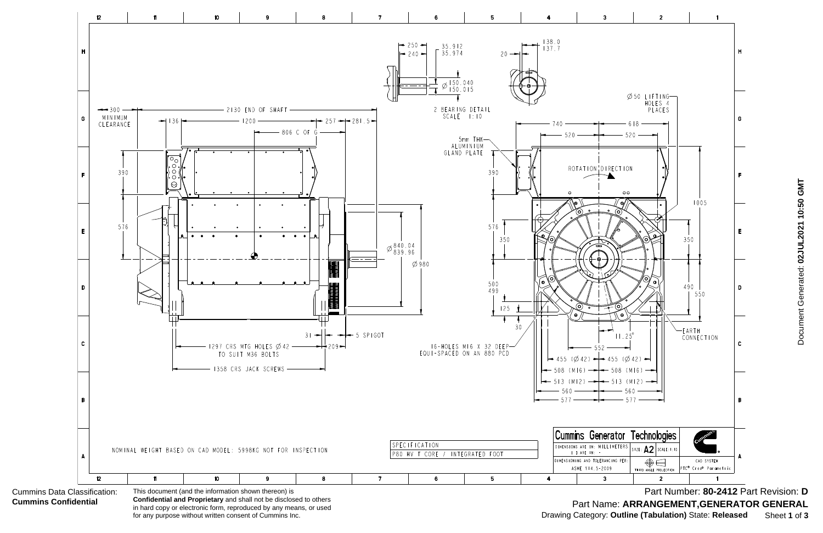

**Confidential and Proprietary** and shall not be disclosed to others in hard copy or electronic form, reproduced by any means, or used for any purpose without written consent of Cummins Inc.

Document Generated: 02JUL2021 10:50 GMT Document Generated: **02JUL2021 10:50 GMT**

Part Number: **80-2412** Part Revision: **D** Part Name: **ARRANGEMENT,GENERATOR GENERAL** Drawing Category: **Outline (Tabulation)** State: **Released** Sheet **1** of **3**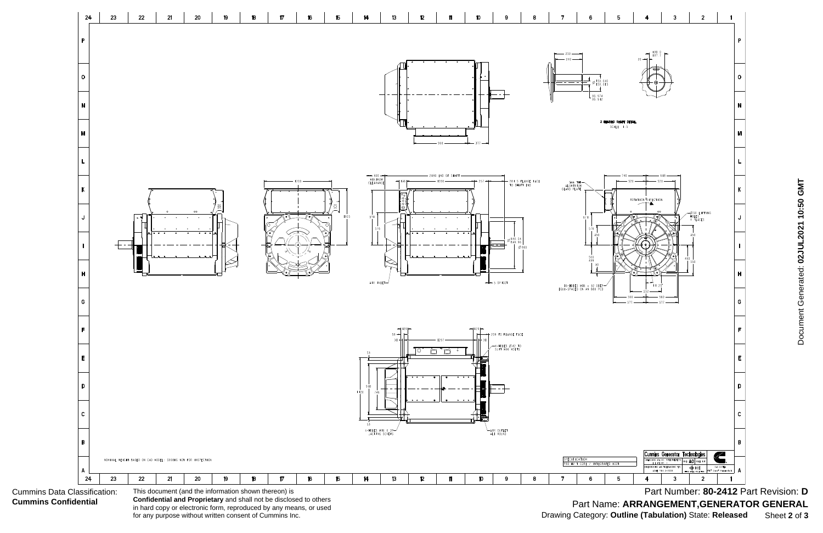Cummins Data Classification: **Cummins Confidential**



**Confidential and Proprietary** and shall not be disclosed to others in hard copy or electronic form, reproduced by any means, or used for any purpose without written consent of Cummins Inc.

Document Generated: 02JUL2021 10:50 GMT Document Generated: **02JUL2021 10:50 GMT**

Part Number: **80-2412** Part Revision: **D** Part Name: **ARRANGEMENT,GENERATOR GENERAL** Drawing Category: **Outline (Tabulation)** State: **Released** Sheet **2** of **3**